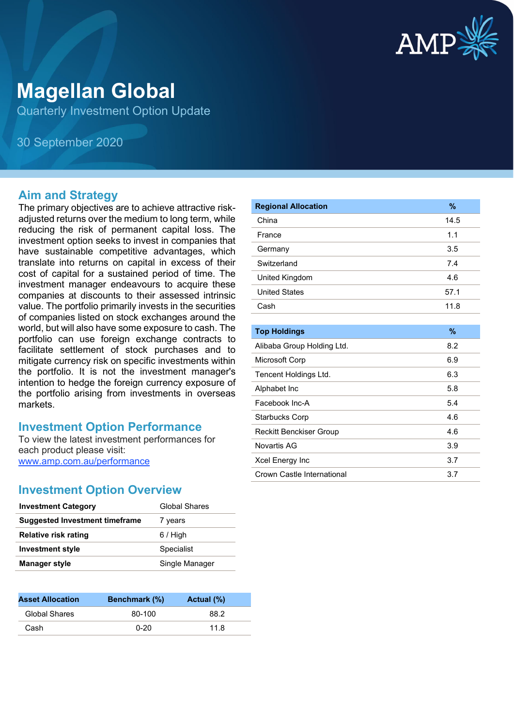

# **Magellan Global**

Quarterly Investment Option Update

30 September 2020

#### **Aim and Strategy**

The primary objectives are to achieve attractive riskadjusted returns over the medium to long term, while reducing the risk of permanent capital loss. The investment option seeks to invest in companies that have sustainable competitive advantages, which translate into returns on capital in excess of their cost of capital for a sustained period of time. The investment manager endeavours to acquire these companies at discounts to their assessed intrinsic value. The portfolio primarily invests in the securities of companies listed on stock exchanges around the world, but will also have some exposure to cash. The portfolio can use foreign exchange contracts to facilitate settlement of stock purchases and to mitigate currency risk on specific investments within the portfolio. It is not the investment manager's intention to hedge the foreign currency exposure of the portfolio arising from investments in overseas markets.

#### **Investment Option Performance**

To view the latest investment performances for each product please visit: www.amp.com.au/performance

### **Investment Option Overview**

| <b>Investment Category</b>            | Global Shares  |
|---------------------------------------|----------------|
| <b>Suggested Investment timeframe</b> | 7 years        |
| <b>Relative risk rating</b>           | $6/$ High      |
| <b>Investment style</b>               | Specialist     |
| <b>Manager style</b>                  | Single Manager |
|                                       |                |

| <b>Asset Allocation</b> | <b>Benchmark</b> (%) | Actual (%) |
|-------------------------|----------------------|------------|
| Global Shares           | 80-100               | 88.2       |
| Cash                    | $0 - 20$             | 11.8       |

| <b>Regional Allocation</b>     | $\frac{9}{6}$ |
|--------------------------------|---------------|
| China                          | 14.5          |
| France                         | 1.1           |
| Germany                        | 3.5           |
| Switzerland                    | 7.4           |
| United Kingdom                 | 4.6           |
| <b>United States</b>           | 57.1          |
| Cash                           | 11.8          |
|                                |               |
| <b>Top Holdings</b>            | $\frac{9}{6}$ |
| Alibaba Group Holding Ltd.     | 8.2           |
| Microsoft Corp                 | 6.9           |
| Tencent Holdings Ltd.          | 6.3           |
| Alphabet Inc                   | 5.8           |
| Facebook Inc-A                 | 5.4           |
| <b>Starbucks Corp</b>          | 4.6           |
| <b>Reckitt Benckiser Group</b> | 4.6           |
| Novartis AG                    | 3.9           |
| Xcel Energy Inc                | 3.7           |
| Crown Castle International     | 3.7           |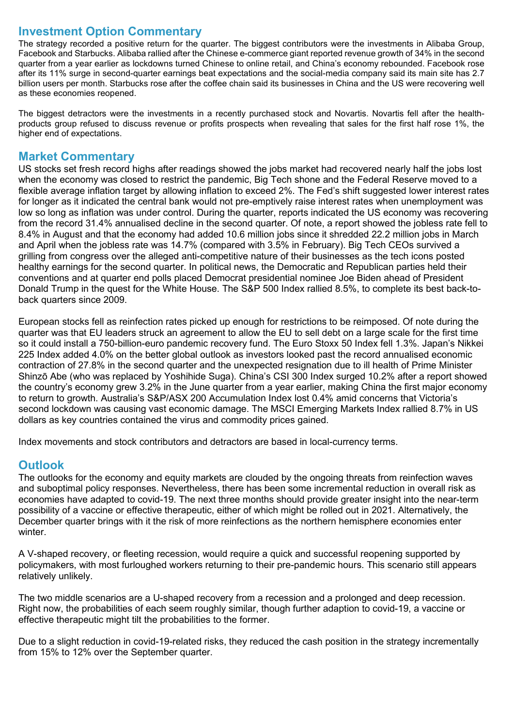## **Investment Option Commentary**

The strategy recorded a positive return for the quarter. The biggest contributors were the investments in Alibaba Group, Facebook and Starbucks. Alibaba rallied after the Chinese e-commerce giant reported revenue growth of 34% in the second quarter from a year earlier as lockdowns turned Chinese to online retail, and China's economy rebounded. Facebook rose after its 11% surge in second-quarter earnings beat expectations and the social-media company said its main site has 2.7 billion users per month. Starbucks rose after the coffee chain said its businesses in China and the US were recovering well as these economies reopened.

The biggest detractors were the investments in a recently purchased stock and Novartis. Novartis fell after the healthproducts group refused to discuss revenue or profits prospects when revealing that sales for the first half rose 1%, the higher end of expectations.

### **Market Commentary**

US stocks set fresh record highs after readings showed the jobs market had recovered nearly half the jobs lost when the economy was closed to restrict the pandemic, Big Tech shone and the Federal Reserve moved to a flexible average inflation target by allowing inflation to exceed 2%. The Fed's shift suggested lower interest rates for longer as it indicated the central bank would not pre-emptively raise interest rates when unemployment was low so long as inflation was under control. During the quarter, reports indicated the US economy was recovering from the record 31.4% annualised decline in the second quarter. Of note, a report showed the jobless rate fell to 8.4% in August and that the economy had added 10.6 million jobs since it shredded 22.2 million jobs in March and April when the jobless rate was 14.7% (compared with 3.5% in February). Big Tech CEOs survived a grilling from congress over the alleged anti-competitive nature of their businesses as the tech icons posted healthy earnings for the second quarter. In political news, the Democratic and Republican parties held their conventions and at quarter end polls placed Democrat presidential nominee Joe Biden ahead of President Donald Trump in the quest for the White House. The S&P 500 Index rallied 8.5%, to complete its best back-toback quarters since 2009.

European stocks fell as reinfection rates picked up enough for restrictions to be reimposed. Of note during the quarter was that EU leaders struck an agreement to allow the EU to sell debt on a large scale for the first time so it could install a 750-billion-euro pandemic recovery fund. The Euro Stoxx 50 Index fell 1.3%. Japan's Nikkei 225 Index added 4.0% on the better global outlook as investors looked past the record annualised economic contraction of 27.8% in the second quarter and the unexpected resignation due to ill health of Prime Minister Shinzō Abe (who was replaced by Yoshihide Suga). China's CSI 300 Index surged 10.2% after a report showed the country's economy grew 3.2% in the June quarter from a year earlier, making China the first major economy to return to growth. Australia's S&P/ASX 200 Accumulation Index lost 0.4% amid concerns that Victoria's second lockdown was causing vast economic damage. The MSCI Emerging Markets Index rallied 8.7% in US dollars as key countries contained the virus and commodity prices gained.

Index movements and stock contributors and detractors are based in local-currency terms.

### **Outlook**

The outlooks for the economy and equity markets are clouded by the ongoing threats from reinfection waves and suboptimal policy responses. Nevertheless, there has been some incremental reduction in overall risk as economies have adapted to covid-19. The next three months should provide greater insight into the near-term possibility of a vaccine or effective therapeutic, either of which might be rolled out in 2021. Alternatively, the December quarter brings with it the risk of more reinfections as the northern hemisphere economies enter winter.

A V-shaped recovery, or fleeting recession, would require a quick and successful reopening supported by policymakers, with most furloughed workers returning to their pre-pandemic hours. This scenario still appears relatively unlikely.

The two middle scenarios are a U-shaped recovery from a recession and a prolonged and deep recession. Right now, the probabilities of each seem roughly similar, though further adaption to covid-19, a vaccine or effective therapeutic might tilt the probabilities to the former.

Due to a slight reduction in covid-19-related risks, they reduced the cash position in the strategy incrementally from 15% to 12% over the September quarter.